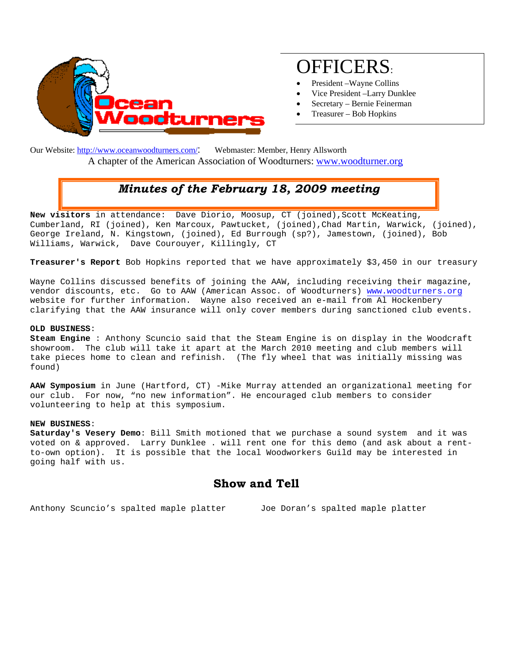

# OFFICERS:

- President –Wayne Collins
- Vice President –Larry Dunklee
- Secretary Bernie Feinerman
- Treasurer Bob Hopkins

Our Website: http://www.oceanwoodturners.com/: Webmaster: Member, Henry Allsworth A chapter of the American Association of Woodturners: www.woodturner.org

## *Minutes of the February 18, 2009 meeting*

New visitors in attendance: Dave Diorio, Moosup, CT (joined), Scott McKeating, Cumberland, RI (joined), Ken Marcoux, Pawtucket, (joined),Chad Martin, Warwick, (joined), George Ireland, N. Kingstown, (joined), Ed Burrough (sp?), Jamestown, (joined), Bob Williams, Warwick, Dave Courouyer, Killingly, CT

**Treasurer's Report** Bob Hopkins reported that we have approximately \$3,450 in our treasury

Wayne Collins discussed benefits of joining the AAW, including receiving their magazine, vendor discounts, etc. Go to AAW (American Assoc. of Woodturners) www.woodturners.org website for further information. Wayne also received an e-mail from Al Hockenbery clarifying that the AAW insurance will only cover members during sanctioned club events.

#### **OLD BUSINESS**:

**Steam Engine** : Anthony Scuncio said that the Steam Engine is on display in the Woodcraft showroom. The club will take it apart at the March 2010 meeting and club members will take pieces home to clean and refinish. (The fly wheel that was initially missing was found)

**AAW Symposium** in June (Hartford, CT) -Mike Murray attended an organizational meeting for our club. For now, "no new information". He encouraged club members to consider volunteering to help at this symposium.

#### **NEW BUSINESS**:

**Saturday's Vesery Demo**: Bill Smith motioned that we purchase a sound system and it was voted on & approved. Larry Dunklee . will rent one for this demo (and ask about a rentto-own option). It is possible that the local Woodworkers Guild may be interested in going half with us.

### **Show and Tell**

Anthony Scuncio's spalted maple platter Joe Doran's spalted maple platter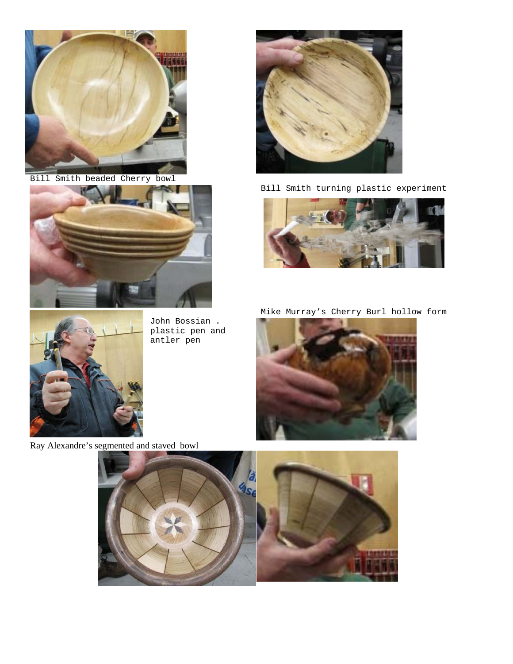

Bill Smith beaded Cherry bowl



John Bossian . plastic pen and antler pen



Bill Smith turning plastic experiment









Ray Alexandre's segmented and staved bowl

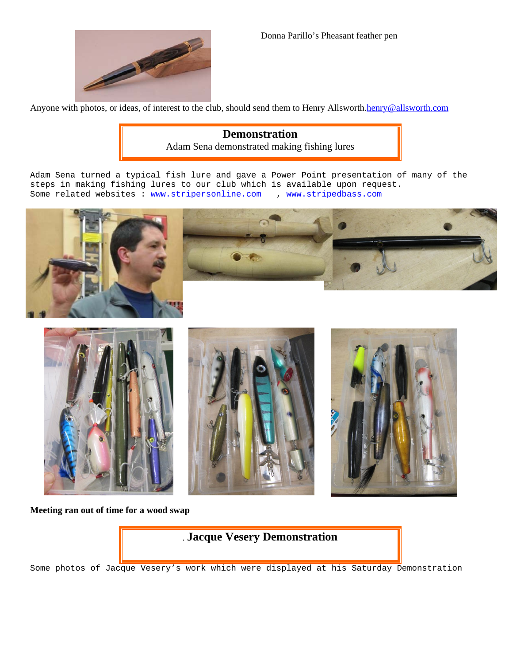

Donna Parillo's Pheasant feather pen

Anyone with photos, or ideas, of interest to the club, should send them to Henry Allsworth.henry@allsworth.com

**Demonstration**  Adam Sena demonstrated making fishing lures

Adam Sena turned a typical fish lure and gave a Power Point presentation of many of the steps in making fishing lures to our club which is available upon request.<br>Some related websites : www.stripersonline.com , www.stripedbass.com Some related websites : www.stripersonline.com









#### **Meeting ran out of time for a wood swap**



Some photos of Jacque Vesery's work which were displayed at his Saturday Demonstration